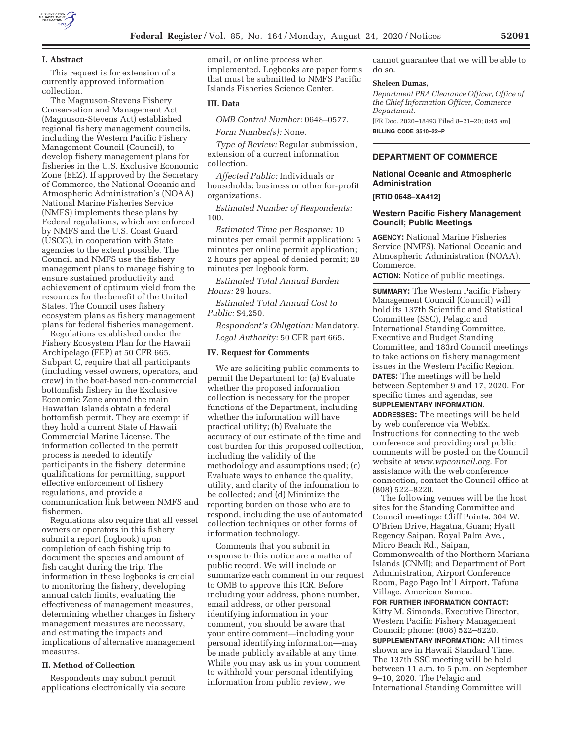

### **I. Abstract**

This request is for extension of a currently approved information collection.

The Magnuson-Stevens Fishery Conservation and Management Act (Magnuson-Stevens Act) established regional fishery management councils, including the Western Pacific Fishery Management Council (Council), to develop fishery management plans for fisheries in the U.S. Exclusive Economic Zone (EEZ). If approved by the Secretary of Commerce, the National Oceanic and Atmospheric Administration's (NOAA) National Marine Fisheries Service (NMFS) implements these plans by Federal regulations, which are enforced by NMFS and the U.S. Coast Guard (USCG), in cooperation with State agencies to the extent possible. The Council and NMFS use the fishery management plans to manage fishing to ensure sustained productivity and achievement of optimum yield from the resources for the benefit of the United States. The Council uses fishery ecosystem plans as fishery management plans for federal fisheries management.

Regulations established under the Fishery Ecosystem Plan for the Hawaii Archipelago (FEP) at 50 CFR 665, Subpart C, require that all participants (including vessel owners, operators, and crew) in the boat-based non-commercial bottomfish fishery in the Exclusive Economic Zone around the main Hawaiian Islands obtain a federal bottomfish permit. They are exempt if they hold a current State of Hawaii Commercial Marine License. The information collected in the permit process is needed to identify participants in the fishery, determine qualifications for permitting, support effective enforcement of fishery regulations, and provide a communication link between NMFS and fishermen.

Regulations also require that all vessel owners or operators in this fishery submit a report (logbook) upon completion of each fishing trip to document the species and amount of fish caught during the trip. The information in these logbooks is crucial to monitoring the fishery, developing annual catch limits, evaluating the effectiveness of management measures, determining whether changes in fishery management measures are necessary, and estimating the impacts and implications of alternative management measures.

### **II. Method of Collection**

Respondents may submit permit applications electronically via secure email, or online process when implemented. Logbooks are paper forms that must be submitted to NMFS Pacific Islands Fisheries Science Center.

#### **III. Data**

*OMB Control Number:* 0648–0577.

*Form Number(s):* None.

*Type of Review:* Regular submission, extension of a current information collection.

*Affected Public:* Individuals or households; business or other for-profit organizations.

*Estimated Number of Respondents:*  100.

*Estimated Time per Response:* 10 minutes per email permit application; 5 minutes per online permit application; 2 hours per appeal of denied permit; 20 minutes per logbook form.

*Estimated Total Annual Burden Hours:* 29 hours.

*Estimated Total Annual Cost to Public:* \$4,250.

*Respondent's Obligation:* Mandatory. *Legal Authority:* 50 CFR part 665.

### **IV. Request for Comments**

We are soliciting public comments to permit the Department to: (a) Evaluate whether the proposed information collection is necessary for the proper functions of the Department, including whether the information will have practical utility; (b) Evaluate the accuracy of our estimate of the time and cost burden for this proposed collection, including the validity of the methodology and assumptions used; (c) Evaluate ways to enhance the quality, utility, and clarity of the information to be collected; and (d) Minimize the reporting burden on those who are to respond, including the use of automated collection techniques or other forms of information technology.

Comments that you submit in response to this notice are a matter of public record. We will include or summarize each comment in our request to OMB to approve this ICR. Before including your address, phone number, email address, or other personal identifying information in your comment, you should be aware that your entire comment—including your personal identifying information—may be made publicly available at any time. While you may ask us in your comment to withhold your personal identifying information from public review, we

cannot guarantee that we will be able to do so.

#### **Sheleen Dumas,**

*Department PRA Clearance Officer, Office of the Chief Information Officer, Commerce Department.* 

[FR Doc. 2020–18493 Filed 8–21–20; 8:45 am] **BILLING CODE 3510–22–P** 

## **DEPARTMENT OF COMMERCE**

#### **National Oceanic and Atmospheric Administration**

**[RTID 0648–XA412]** 

#### **Western Pacific Fishery Management Council; Public Meetings**

**AGENCY:** National Marine Fisheries Service (NMFS), National Oceanic and Atmospheric Administration (NOAA), Commerce.

**ACTION:** Notice of public meetings.

**SUMMARY:** The Western Pacific Fishery Management Council (Council) will hold its 137th Scientific and Statistical Committee (SSC), Pelagic and International Standing Committee, Executive and Budget Standing Committee, and 183rd Council meetings to take actions on fishery management issues in the Western Pacific Region. **DATES:** The meetings will be held between September 9 and 17, 2020. For

specific times and agendas, see **SUPPLEMENTARY INFORMATION**.

**ADDRESSES:** The meetings will be held by web conference via WebEx. Instructions for connecting to the web conference and providing oral public comments will be posted on the Council website at *www.wpcouncil.org.* For assistance with the web conference connection, contact the Council office at (808) 522–8220.

The following venues will be the host sites for the Standing Committee and Council meetings: Cliff Pointe, 304 W. O'Brien Drive, Hagatna, Guam; Hyatt Regency Saipan, Royal Palm Ave., Micro Beach Rd., Saipan, Commonwealth of the Northern Mariana Islands (CNMI); and Department of Port Administration, Airport Conference Room, Pago Pago Int'l Airport, Tafuna Village, American Samoa.

**FOR FURTHER INFORMATION CONTACT:**  Kitty M. Simonds, Executive Director, Western Pacific Fishery Management Council; phone: (808) 522–8220.

**SUPPLEMENTARY INFORMATION:** All times shown are in Hawaii Standard Time. The 137th SSC meeting will be held between 11 a.m. to 5 p.m. on September 9–10, 2020. The Pelagic and International Standing Committee will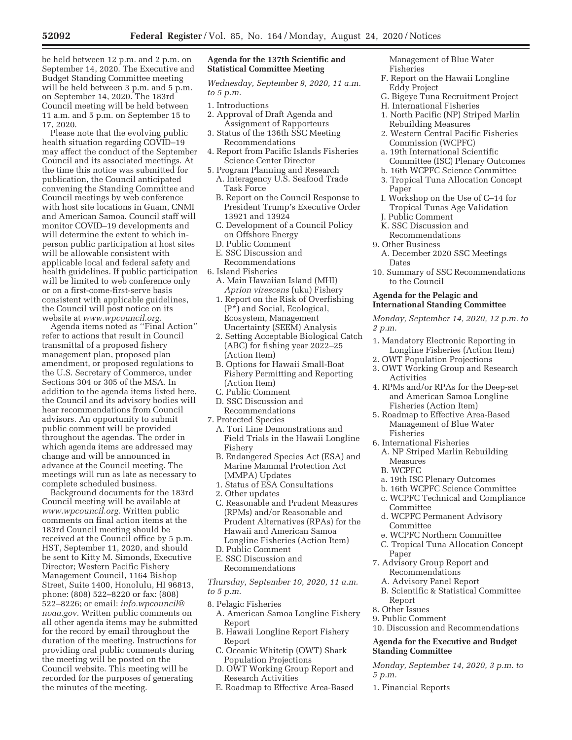be held between 12 p.m. and 2 p.m. on September 14, 2020. The Executive and Budget Standing Committee meeting will be held between 3 p.m. and 5 p.m. on September 14, 2020. The 183rd Council meeting will be held between 11 a.m. and 5 p.m. on September 15 to 17, 2020.

Please note that the evolving public health situation regarding COVID–19 may affect the conduct of the September Council and its associated meetings. At the time this notice was submitted for publication, the Council anticipated convening the Standing Committee and Council meetings by web conference with host site locations in Guam, CNMI and American Samoa. Council staff will monitor COVID–19 developments and will determine the extent to which inperson public participation at host sites will be allowable consistent with applicable local and federal safety and health guidelines. If public participation will be limited to web conference only or on a first-come-first-serve basis consistent with applicable guidelines, the Council will post notice on its website at *www.wpcouncil.org.* 

Agenda items noted as ''Final Action'' refer to actions that result in Council transmittal of a proposed fishery management plan, proposed plan amendment, or proposed regulations to the U.S. Secretary of Commerce, under Sections 304 or 305 of the MSA. In addition to the agenda items listed here, the Council and its advisory bodies will hear recommendations from Council advisors. An opportunity to submit public comment will be provided throughout the agendas. The order in which agenda items are addressed may change and will be announced in advance at the Council meeting. The meetings will run as late as necessary to complete scheduled business.

Background documents for the 183rd Council meeting will be available at *www.wpcouncil.org.* Written public comments on final action items at the 183rd Council meeting should be received at the Council office by 5 p.m. HST, September 11, 2020, and should be sent to Kitty M. Simonds, Executive Director; Western Pacific Fishery Management Council, 1164 Bishop Street, Suite 1400, Honolulu, HI 96813, phone: (808) 522–8220 or fax: (808) 522–8226; or email: *info.wpcouncil@ noaa.gov.* Written public comments on all other agenda items may be submitted for the record by email throughout the duration of the meeting. Instructions for providing oral public comments during the meeting will be posted on the Council website. This meeting will be recorded for the purposes of generating the minutes of the meeting.

## **Agenda for the 137th Scientific and Statistical Committee Meeting**

*Wednesday, September 9, 2020, 11 a.m. to 5 p.m.* 

- 1. Introductions
- 2. Approval of Draft Agenda and Assignment of Rapporteurs
- 3. Status of the 136th SSC Meeting Recommendations
- 4. Report from Pacific Islands Fisheries Science Center Director
- 5. Program Planning and Research
	- A. Interagency U.S. Seafood Trade Task Force
	- B. Report on the Council Response to President Trump's Executive Order 13921 and 13924
	- C. Development of a Council Policy on Offshore Energy
	- D. Public Comment
	- E. SSC Discussion and
	- Recommendations
- 6. Island Fisheries
	- A. Main Hawaiian Island (MHI) *Aprion virescens* (uku) Fishery
	- 1. Report on the Risk of Overfishing (P\*) and Social, Ecological, Ecosystem, Management Uncertainty (SEEM) Analysis
	- 2. Setting Acceptable Biological Catch (ABC) for fishing year 2022–25 (Action Item)
	- B. Options for Hawaii Small-Boat Fishery Permitting and Reporting (Action Item)
	- C. Public Comment
	- D. SSC Discussion and Recommendations
- 7. Protected Species
	- A. Tori Line Demonstrations and Field Trials in the Hawaii Longline Fishery
	- B. Endangered Species Act (ESA) and Marine Mammal Protection Act (MMPA) Updates
	- 1. Status of ESA Consultations
	- 2. Other updates
	- C. Reasonable and Prudent Measures (RPMs) and/or Reasonable and Prudent Alternatives (RPAs) for the Hawaii and American Samoa Longline Fisheries (Action Item)
- D. Public Comment
- E. SSC Discussion and Recommendations

*Thursday, September 10, 2020, 11 a.m. to 5 p.m.* 

- 8. Pelagic Fisheries
	- A. American Samoa Longline Fishery Report
	- B. Hawaii Longline Report Fishery Report
	- C. Oceanic Whitetip (OWT) Shark Population Projections
	- D. OWT Working Group Report and Research Activities
	- E. Roadmap to Effective Area-Based

Management of Blue Water Fisheries

- F. Report on the Hawaii Longline Eddy Project
- G. Bigeye Tuna Recruitment Project
- H. International Fisheries
- 1. North Pacific (NP) Striped Marlin Rebuilding Measures
- 2. Western Central Pacific Fisheries Commission (WCPFC)
- a. 19th International Scientific Committee (ISC) Plenary Outcomes
- b. 16th WCPFC Science Committee
- 3. Tropical Tuna Allocation Concept Paper
- I. Workshop on the Use of C–14 for Tropical Tunas Age Validation J. Public Comment
- 
- K. SSC Discussion and Recommendations
- 9. Other Business
- A. December 2020 SSC Meetings Dates
- 10. Summary of SSC Recommendations to the Council

#### **Agenda for the Pelagic and International Standing Committee**

*Monday, September 14, 2020, 12 p.m. to 2 p.m.* 

- 1. Mandatory Electronic Reporting in Longline Fisheries (Action Item)
- 2. OWT Population Projections
- 3. OWT Working Group and Research **Activities**
- 4. RPMs and/or RPAs for the Deep-set and American Samoa Longline Fisheries (Action Item)
- 5. Roadmap to Effective Area-Based Management of Blue Water Fisheries
- 6. International Fisheries
	- A. NP Striped Marlin Rebuilding Measures
	- B. WCPFC
	- a. 19th ISC Plenary Outcomes
	- b. 16th WCPFC Science Committee
	- c. WCPFC Technical and Compliance Committee
	- d. WCPFC Permanent Advisory Committee
	- e. WCPFC Northern Committee
	- C. Tropical Tuna Allocation Concept Paper
- 7. Advisory Group Report and Recommendations
	- A. Advisory Panel Report
	- B. Scientific & Statistical Committee Report
- 8. Other Issues
- 9. Public Comment

10. Discussion and Recommendations

## **Agenda for the Executive and Budget Standing Committee**

*Monday, September 14, 2020, 3 p.m. to 5 p.m.* 

1. Financial Reports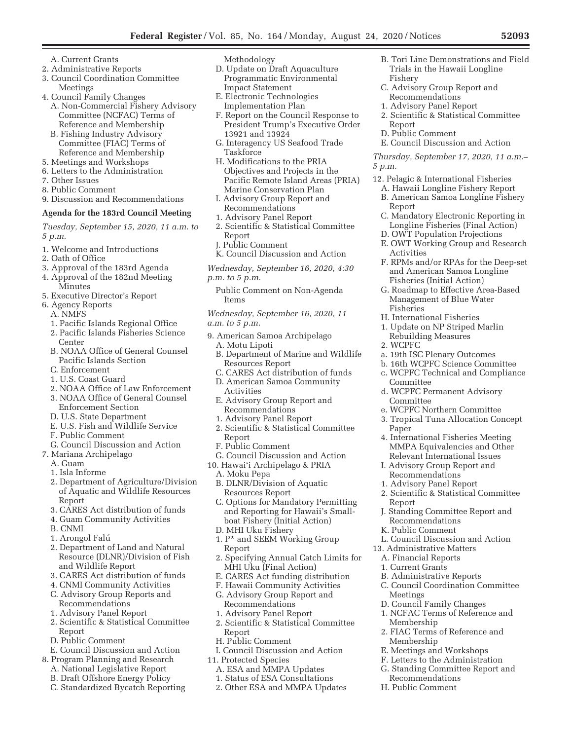- A. Current Grants
- 2. Administrative Reports
- 3. Council Coordination Committee Meetings
- 4. Council Family Changes
	- A. Non-Commercial Fishery Advisory Committee (NCFAC) Terms of Reference and Membership
	- B. Fishing Industry Advisory Committee (FIAC) Terms of Reference and Membership
- 5. Meetings and Workshops
- 6. Letters to the Administration
- 7. Other Issues
- 8. Public Comment
- 9. Discussion and Recommendations

# **Agenda for the 183rd Council Meeting**

*Tuesday, September 15, 2020, 11 a.m. to 5 p.m.* 

- 1. Welcome and Introductions
- 2. Oath of Office
- 3. Approval of the 183rd Agenda
- 4. Approval of the 182nd Meeting Minutes
- 5. Executive Director's Report
- 6. Agency Reports
	- A. NMFS
	- 1. Pacific Islands Regional Office
	- 2. Pacific Islands Fisheries Science Center
	- B. NOAA Office of General Counsel Pacific Islands Section
	- C. Enforcement
	- 1. U.S. Coast Guard
	- 2. NOAA Office of Law Enforcement 3. NOAA Office of General Counsel
	- Enforcement Section
	- D. U.S. State Department
	- E. U.S. Fish and Wildlife Service
	- F. Public Comment
	- G. Council Discussion and Action
- 7. Mariana Archipelago
	- A. Guam
	- 1. Isla Informe
	- 2. Department of Agriculture/Division of Aquatic and Wildlife Resources Report
	- 3. CARES Act distribution of funds
	- 4. Guam Community Activities
	- B. CNMI
	- 1. Arongol Falú
	- 2. Department of Land and Natural Resource (DLNR)/Division of Fish and Wildlife Report
	- 3. CARES Act distribution of funds
	- 4. CNMI Community Activities
	- C. Advisory Group Reports and Recommendations
	- 1. Advisory Panel Report
	- 2. Scientific & Statistical Committee Report
	- D. Public Comment
- E. Council Discussion and Action
- 8. Program Planning and Research
	- A. National Legislative Report
	- B. Draft Offshore Energy Policy
	- C. Standardized Bycatch Reporting

Methodology

- D. Update on Draft Aquaculture Programmatic Environmental Impact Statement
- E. Electronic Technologies Implementation Plan
- F. Report on the Council Response to President Trump's Executive Order 13921 and 13924
- G. Interagency US Seafood Trade Taskforce
- H. Modifications to the PRIA Objectives and Projects in the Pacific Remote Island Areas (PRIA) Marine Conservation Plan
- I. Advisory Group Report and Recommendations
- 1. Advisory Panel Report
- 2. Scientific & Statistical Committee Report
- J. Public Comment
- K. Council Discussion and Action

*Wednesday, September 16, 2020, 4:30 p.m. to 5 p.m.* 

Public Comment on Non-Agenda Items

*Wednesday, September 16, 2020, 11 a.m. to 5 p.m.* 

- 9. American Samoa Archipelago
	- A. Motu Lipoti
	- B. Department of Marine and Wildlife Resources Report
	- C. CARES Act distribution of funds D. American Samoa Community
	- Activities
	- E. Advisory Group Report and Recommendations
	- 1. Advisory Panel Report
	- 2. Scientific & Statistical Committee Report
	- F. Public Comment
	- G. Council Discussion and Action
- 10. Hawai'i Archipelago & PRIA
	- A. Moku Pepa
	- B. DLNR/Division of Aquatic Resources Report
	- C. Options for Mandatory Permitting and Reporting for Hawaii's Smallboat Fishery (Initial Action)
	- D. MHI Uku Fishery
	- 1. P\* and SEEM Working Group Report
	- 2. Specifying Annual Catch Limits for MHI Uku (Final Action)
	- E. CARES Act funding distribution
	- F. Hawaii Community Activities
	- G. Advisory Group Report and Recommendations
	- 1. Advisory Panel Report
	- 2. Scientific & Statistical Committee Report
	- H. Public Comment
- I. Council Discussion and Action
- 11. Protected Species
	- A. ESA and MMPA Updates
	- 1. Status of ESA Consultations
	- 2. Other ESA and MMPA Updates
- B. Tori Line Demonstrations and Field Trials in the Hawaii Longline Fishery
- C. Advisory Group Report and Recommendations
- 1. Advisory Panel Report
- 2. Scientific & Statistical Committee Report

E. Council Discussion and Action *Thursday, September 17, 2020, 11 a.m.–* 

12. Pelagic & International Fisheries A. Hawaii Longline Fishery Report B. American Samoa Longline Fishery

C. Mandatory Electronic Reporting in Longline Fisheries (Final Action) D. OWT Population Projections E. OWT Working Group and Research

F. RPMs and/or RPAs for the Deep-set and American Samoa Longline Fisheries (Initial Action) G. Roadmap to Effective Area-Based Management of Blue Water

D. Public Comment

*5 p.m.* 

Report

Activities

Fisheries

2. WCPFC

Committee

Committee

Paper

Report

Meetings

Membership

Membership

H. International Fisheries 1. Update on NP Striped Marlin Rebuilding Measures

a. 19th ISC Plenary Outcomes b. 16th WCPFC Science Committee c. WCPFC Technical and Compliance

d. WCPFC Permanent Advisory

e. WCPFC Northern Committee 3. Tropical Tuna Allocation Concept

4. International Fisheries Meeting MMPA Equivalencies and Other Relevant International Issues I. Advisory Group Report and Recommendations 1. Advisory Panel Report

2. Scientific & Statistical Committee

J. Standing Committee Report and

L. Council Discussion and Action

C. Council Coordination Committee

Recommendations K. Public Comment

13. Administrative Matters A. Financial Reports 1. Current Grants

B. Administrative Reports

D. Council Family Changes 1. NCFAC Terms of Reference and

E. Meetings and Workshops F. Letters to the Administration G. Standing Committee Report and

Recommendations H. Public Comment

2. FIAC Terms of Reference and